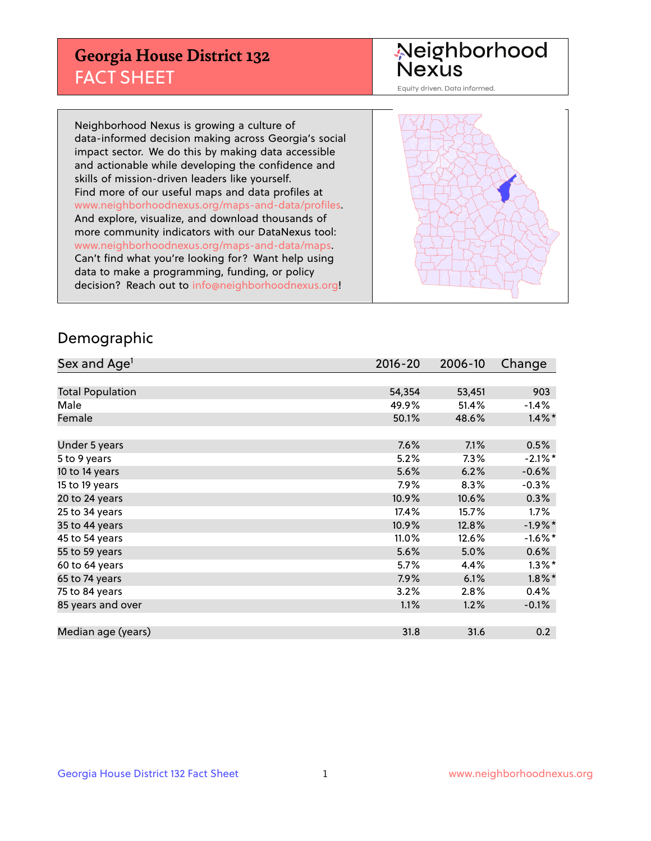## **Georgia House District 132** FACT SHEET

# Neighborhood<br>Nexus

Equity driven. Data informed.

Neighborhood Nexus is growing a culture of data-informed decision making across Georgia's social impact sector. We do this by making data accessible and actionable while developing the confidence and skills of mission-driven leaders like yourself. Find more of our useful maps and data profiles at www.neighborhoodnexus.org/maps-and-data/profiles. And explore, visualize, and download thousands of more community indicators with our DataNexus tool: www.neighborhoodnexus.org/maps-and-data/maps. Can't find what you're looking for? Want help using data to make a programming, funding, or policy decision? Reach out to [info@neighborhoodnexus.org!](mailto:info@neighborhoodnexus.org)



#### Demographic

| Sex and Age <sup>1</sup> | $2016 - 20$ | 2006-10 | Change     |
|--------------------------|-------------|---------|------------|
|                          |             |         |            |
| <b>Total Population</b>  | 54,354      | 53,451  | 903        |
| Male                     | 49.9%       | 51.4%   | $-1.4%$    |
| Female                   | 50.1%       | 48.6%   | $1.4\%$ *  |
|                          |             |         |            |
| Under 5 years            | 7.6%        | 7.1%    | 0.5%       |
| 5 to 9 years             | 5.2%        | 7.3%    | $-2.1\%$ * |
| 10 to 14 years           | 5.6%        | 6.2%    | $-0.6%$    |
| 15 to 19 years           | 7.9%        | 8.3%    | $-0.3%$    |
| 20 to 24 years           | 10.9%       | 10.6%   | 0.3%       |
| 25 to 34 years           | 17.4%       | 15.7%   | $1.7\%$    |
| 35 to 44 years           | 10.9%       | 12.8%   | $-1.9%$ *  |
| 45 to 54 years           | 11.0%       | 12.6%   | $-1.6%$ *  |
| 55 to 59 years           | 5.6%        | 5.0%    | 0.6%       |
| 60 to 64 years           | 5.7%        | 4.4%    | $1.3\%$ *  |
| 65 to 74 years           | 7.9%        | 6.1%    | $1.8\%$ *  |
| 75 to 84 years           | 3.2%        | 2.8%    | $0.4\%$    |
| 85 years and over        | 1.1%        | 1.2%    | $-0.1\%$   |
|                          |             |         |            |
| Median age (years)       | 31.8        | 31.6    | 0.2        |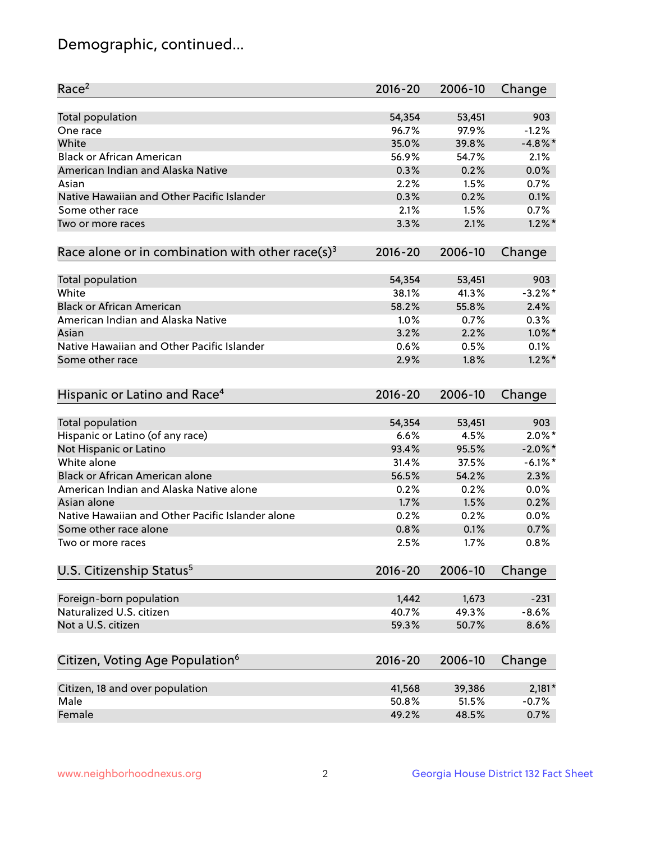## Demographic, continued...

| Race <sup>2</sup>                                            | $2016 - 20$ | 2006-10 | Change     |
|--------------------------------------------------------------|-------------|---------|------------|
| <b>Total population</b>                                      | 54,354      | 53,451  | 903        |
| One race                                                     | 96.7%       | 97.9%   | $-1.2%$    |
| White                                                        | 35.0%       | 39.8%   | $-4.8\%$ * |
| <b>Black or African American</b>                             | 56.9%       | 54.7%   | 2.1%       |
| American Indian and Alaska Native                            | 0.3%        | 0.2%    | 0.0%       |
| Asian                                                        | 2.2%        | 1.5%    | 0.7%       |
| Native Hawaiian and Other Pacific Islander                   | 0.3%        | 0.2%    | 0.1%       |
| Some other race                                              | 2.1%        | 1.5%    | 0.7%       |
| Two or more races                                            | 3.3%        | 2.1%    | $1.2\%$ *  |
|                                                              |             |         |            |
| Race alone or in combination with other race(s) <sup>3</sup> | $2016 - 20$ | 2006-10 | Change     |
| Total population                                             | 54,354      | 53,451  | 903        |
| White                                                        | 38.1%       | 41.3%   | $-3.2\%$ * |
| <b>Black or African American</b>                             | 58.2%       | 55.8%   | 2.4%       |
| American Indian and Alaska Native                            | 1.0%        | 0.7%    | 0.3%       |
|                                                              | 3.2%        | 2.2%    | $1.0\%$ *  |
| Asian                                                        |             |         |            |
| Native Hawaiian and Other Pacific Islander                   | 0.6%        | 0.5%    | 0.1%       |
| Some other race                                              | 2.9%        | 1.8%    | $1.2\%$ *  |
| Hispanic or Latino and Race <sup>4</sup>                     | $2016 - 20$ | 2006-10 | Change     |
| <b>Total population</b>                                      | 54,354      | 53,451  | 903        |
| Hispanic or Latino (of any race)                             | 6.6%        | 4.5%    | $2.0\%$ *  |
| Not Hispanic or Latino                                       | 93.4%       | 95.5%   | $-2.0\%$ * |
| White alone                                                  | 31.4%       | 37.5%   | $-6.1\%$ * |
| <b>Black or African American alone</b>                       | 56.5%       | 54.2%   | 2.3%       |
| American Indian and Alaska Native alone                      | 0.2%        | 0.2%    | 0.0%       |
| Asian alone                                                  | 1.7%        | 1.5%    | 0.2%       |
| Native Hawaiian and Other Pacific Islander alone             | 0.2%        | 0.2%    | 0.0%       |
| Some other race alone                                        | 0.8%        | 0.1%    | 0.7%       |
| Two or more races                                            | 2.5%        | 1.7%    | 0.8%       |
|                                                              |             |         |            |
| U.S. Citizenship Status <sup>5</sup>                         | $2016 - 20$ | 2006-10 | Change     |
| Foreign-born population                                      | 1,442       | 1,673   | $-231$     |
| Naturalized U.S. citizen                                     | 40.7%       | 49.3%   | $-8.6%$    |
| Not a U.S. citizen                                           | 59.3%       | 50.7%   | 8.6%       |
|                                                              |             |         |            |
| Citizen, Voting Age Population <sup>6</sup>                  | $2016 - 20$ | 2006-10 | Change     |
| Citizen, 18 and over population                              | 41,568      | 39,386  | $2,181*$   |
| Male                                                         | 50.8%       | 51.5%   | $-0.7%$    |
| Female                                                       | 49.2%       | 48.5%   | 0.7%       |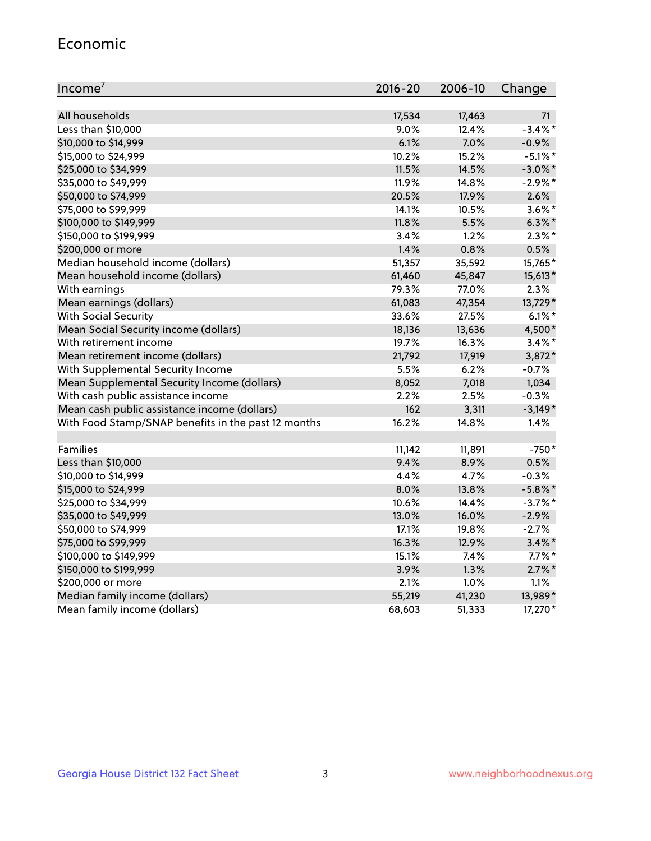#### Economic

| Income <sup>7</sup>                                 | 2016-20 | 2006-10 | Change     |
|-----------------------------------------------------|---------|---------|------------|
|                                                     |         |         |            |
| All households                                      | 17,534  | 17,463  | 71         |
| Less than \$10,000                                  | 9.0%    | 12.4%   | $-3.4\%$ * |
| \$10,000 to \$14,999                                | 6.1%    | 7.0%    | $-0.9%$    |
| \$15,000 to \$24,999                                | 10.2%   | 15.2%   | $-5.1\%$ * |
| \$25,000 to \$34,999                                | 11.5%   | 14.5%   | $-3.0\%$ * |
| \$35,000 to \$49,999                                | 11.9%   | 14.8%   | $-2.9\%$ * |
| \$50,000 to \$74,999                                | 20.5%   | 17.9%   | 2.6%       |
| \$75,000 to \$99,999                                | 14.1%   | 10.5%   | $3.6\%$ *  |
| \$100,000 to \$149,999                              | 11.8%   | 5.5%    | $6.3\%$ *  |
| \$150,000 to \$199,999                              | 3.4%    | 1.2%    | $2.3\%$ *  |
| \$200,000 or more                                   | 1.4%    | 0.8%    | 0.5%       |
| Median household income (dollars)                   | 51,357  | 35,592  | 15,765*    |
| Mean household income (dollars)                     | 61,460  | 45,847  | 15,613*    |
| With earnings                                       | 79.3%   | 77.0%   | 2.3%       |
| Mean earnings (dollars)                             | 61,083  | 47,354  | 13,729*    |
| <b>With Social Security</b>                         | 33.6%   | 27.5%   | $6.1\%$ *  |
| Mean Social Security income (dollars)               | 18,136  | 13,636  | 4,500*     |
| With retirement income                              | 19.7%   | 16.3%   | $3.4\%$ *  |
| Mean retirement income (dollars)                    | 21,792  | 17,919  | 3,872*     |
| With Supplemental Security Income                   | 5.5%    | 6.2%    | $-0.7%$    |
| Mean Supplemental Security Income (dollars)         | 8,052   | 7,018   | 1,034      |
| With cash public assistance income                  | 2.2%    | 2.5%    | $-0.3%$    |
| Mean cash public assistance income (dollars)        | 162     | 3,311   | $-3,149*$  |
| With Food Stamp/SNAP benefits in the past 12 months | 16.2%   | 14.8%   | 1.4%       |
|                                                     |         |         |            |
| Families                                            | 11,142  | 11,891  | $-750*$    |
| Less than \$10,000                                  | 9.4%    | 8.9%    | 0.5%       |
| \$10,000 to \$14,999                                | 4.4%    | 4.7%    | $-0.3%$    |
| \$15,000 to \$24,999                                | 8.0%    | 13.8%   | $-5.8\%$ * |
| \$25,000 to \$34,999                                | 10.6%   | 14.4%   | $-3.7%$ *  |
| \$35,000 to \$49,999                                | 13.0%   | 16.0%   | $-2.9%$    |
| \$50,000 to \$74,999                                | 17.1%   | 19.8%   | $-2.7%$    |
| \$75,000 to \$99,999                                | 16.3%   | 12.9%   | $3.4\%$ *  |
| \$100,000 to \$149,999                              | 15.1%   | 7.4%    | $7.7\%$ *  |
| \$150,000 to \$199,999                              | 3.9%    | 1.3%    | $2.7\%$ *  |
| \$200,000 or more                                   | 2.1%    | 1.0%    | 1.1%       |
| Median family income (dollars)                      | 55,219  | 41,230  | 13,989*    |
| Mean family income (dollars)                        | 68,603  | 51,333  | 17,270*    |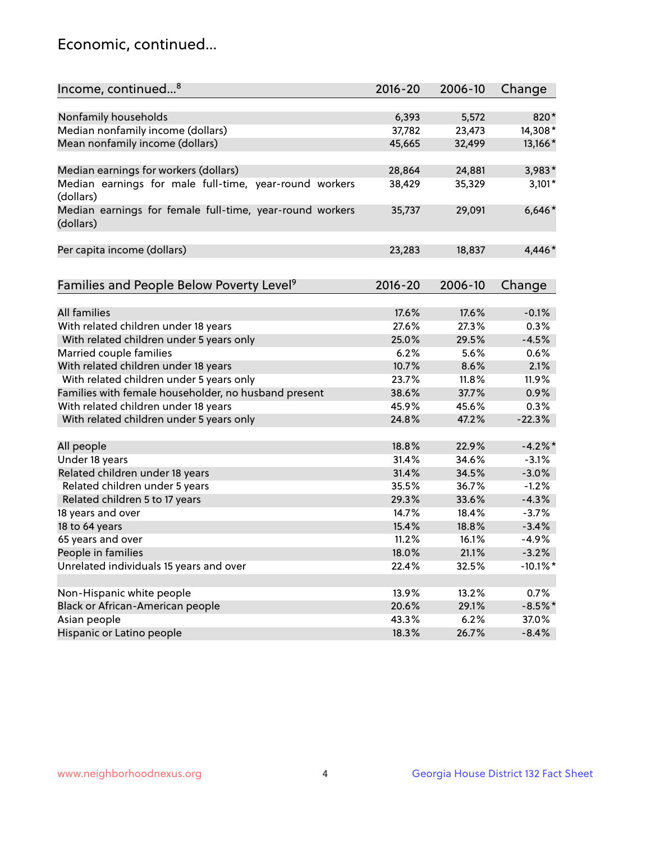## Economic, continued...

| Income, continued <sup>8</sup>                                        | $2016 - 20$ | 2006-10 | Change      |
|-----------------------------------------------------------------------|-------------|---------|-------------|
|                                                                       |             |         |             |
| Nonfamily households                                                  | 6,393       | 5,572   | 820*        |
| Median nonfamily income (dollars)                                     | 37,782      | 23,473  | 14,308*     |
| Mean nonfamily income (dollars)                                       | 45,665      | 32,499  | 13,166*     |
| Median earnings for workers (dollars)                                 | 28,864      | 24,881  | 3,983*      |
| Median earnings for male full-time, year-round workers<br>(dollars)   | 38,429      | 35,329  | $3,101*$    |
| Median earnings for female full-time, year-round workers<br>(dollars) | 35,737      | 29,091  | $6,646*$    |
| Per capita income (dollars)                                           | 23,283      | 18,837  | 4,446*      |
| Families and People Below Poverty Level <sup>9</sup>                  | $2016 - 20$ | 2006-10 | Change      |
|                                                                       |             |         |             |
| <b>All families</b>                                                   | 17.6%       | 17.6%   | $-0.1%$     |
| With related children under 18 years                                  | 27.6%       | 27.3%   | 0.3%        |
| With related children under 5 years only                              | 25.0%       | 29.5%   | $-4.5%$     |
| Married couple families                                               | 6.2%        | 5.6%    | 0.6%        |
| With related children under 18 years                                  | 10.7%       | 8.6%    | 2.1%        |
| With related children under 5 years only                              | 23.7%       | 11.8%   | 11.9%       |
| Families with female householder, no husband present                  | 38.6%       | 37.7%   | 0.9%        |
| With related children under 18 years                                  | 45.9%       | 45.6%   | 0.3%        |
| With related children under 5 years only                              | 24.8%       | 47.2%   | $-22.3%$    |
| All people                                                            | 18.8%       | 22.9%   | $-4.2%$     |
| Under 18 years                                                        | 31.4%       | 34.6%   | $-3.1%$     |
| Related children under 18 years                                       | 31.4%       | 34.5%   | $-3.0%$     |
| Related children under 5 years                                        | 35.5%       | 36.7%   | $-1.2%$     |
| Related children 5 to 17 years                                        | 29.3%       | 33.6%   | $-4.3%$     |
| 18 years and over                                                     | 14.7%       | 18.4%   | $-3.7%$     |
| 18 to 64 years                                                        | 15.4%       | 18.8%   | $-3.4%$     |
| 65 years and over                                                     | 11.2%       | 16.1%   | $-4.9%$     |
| People in families                                                    | 18.0%       | 21.1%   | $-3.2%$     |
| Unrelated individuals 15 years and over                               | 22.4%       | 32.5%   | $-10.1\%$ * |
|                                                                       |             |         |             |
| Non-Hispanic white people                                             | 13.9%       | 13.2%   | 0.7%        |
| Black or African-American people                                      | 20.6%       | 29.1%   | $-8.5%$ *   |
| Asian people                                                          | 43.3%       | 6.2%    | 37.0%       |
| Hispanic or Latino people                                             | 18.3%       | 26.7%   | $-8.4%$     |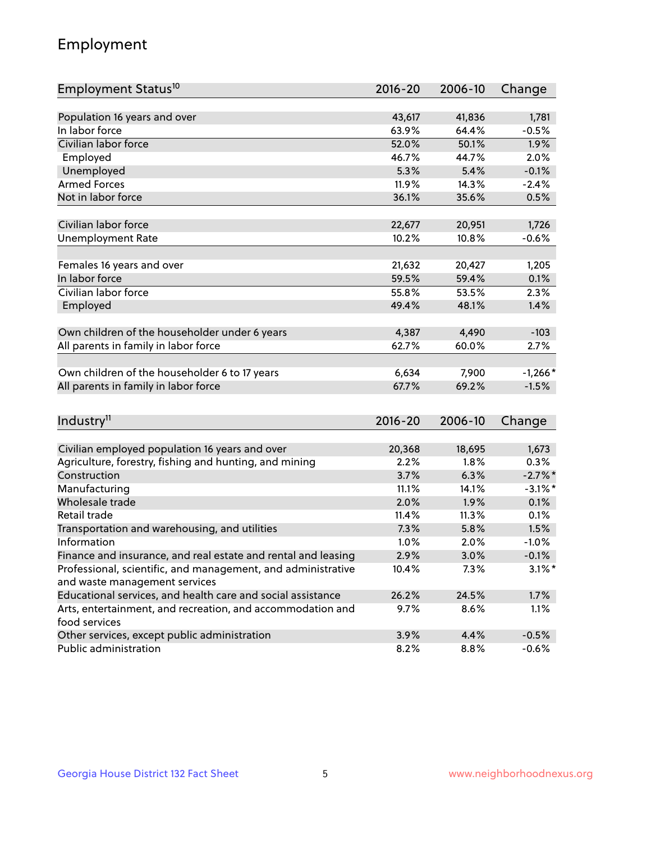## Employment

| Employment Status <sup>10</sup>                               | 2016-20 | 2006-10 | Change     |
|---------------------------------------------------------------|---------|---------|------------|
|                                                               |         |         |            |
| Population 16 years and over                                  | 43,617  | 41,836  | 1,781      |
| In labor force                                                | 63.9%   | 64.4%   | $-0.5%$    |
| Civilian labor force                                          | 52.0%   | 50.1%   | 1.9%       |
| Employed                                                      | 46.7%   | 44.7%   | 2.0%       |
| Unemployed                                                    | 5.3%    | 5.4%    | $-0.1%$    |
| <b>Armed Forces</b>                                           | 11.9%   | 14.3%   | $-2.4%$    |
| Not in labor force                                            | 36.1%   | 35.6%   | 0.5%       |
|                                                               |         |         |            |
| Civilian labor force                                          | 22,677  | 20,951  | 1,726      |
| <b>Unemployment Rate</b>                                      | 10.2%   | 10.8%   | $-0.6%$    |
|                                                               |         |         |            |
| Females 16 years and over                                     | 21,632  | 20,427  | 1,205      |
| In labor force                                                | 59.5%   | 59.4%   | 0.1%       |
| Civilian labor force                                          | 55.8%   | 53.5%   | 2.3%       |
| Employed                                                      | 49.4%   | 48.1%   | 1.4%       |
| Own children of the householder under 6 years                 | 4,387   | 4,490   | $-103$     |
| All parents in family in labor force                          | 62.7%   | 60.0%   | 2.7%       |
|                                                               |         |         |            |
| Own children of the householder 6 to 17 years                 | 6,634   | 7,900   | $-1,266*$  |
| All parents in family in labor force                          | 67.7%   | 69.2%   | $-1.5%$    |
|                                                               |         |         |            |
| Industry <sup>11</sup>                                        | 2016-20 | 2006-10 | Change     |
|                                                               |         |         |            |
| Civilian employed population 16 years and over                | 20,368  | 18,695  | 1,673      |
| Agriculture, forestry, fishing and hunting, and mining        | 2.2%    | 1.8%    | 0.3%       |
| Construction                                                  | 3.7%    | 6.3%    | $-2.7%$    |
| Manufacturing                                                 | 11.1%   | 14.1%   | $-3.1\%$ * |
| Wholesale trade                                               | 2.0%    | 1.9%    | 0.1%       |
| Retail trade                                                  | 11.4%   | 11.3%   | 0.1%       |
| Transportation and warehousing, and utilities                 | 7.3%    | 5.8%    | 1.5%       |
| Information                                                   | 1.0%    | 2.0%    | $-1.0%$    |
| Finance and insurance, and real estate and rental and leasing | 2.9%    | 3.0%    | $-0.1%$    |
| Professional, scientific, and management, and administrative  | 10.4%   | 7.3%    | $3.1\%$ *  |
| and waste management services                                 |         |         |            |
| Educational services, and health care and social assistance   | 26.2%   | 24.5%   | 1.7%       |
| Arts, entertainment, and recreation, and accommodation and    | 9.7%    | 8.6%    | 1.1%       |
| food services                                                 |         |         |            |
| Other services, except public administration                  | 3.9%    | 4.4%    | $-0.5%$    |
| Public administration                                         | 8.2%    | 8.8%    | $-0.6%$    |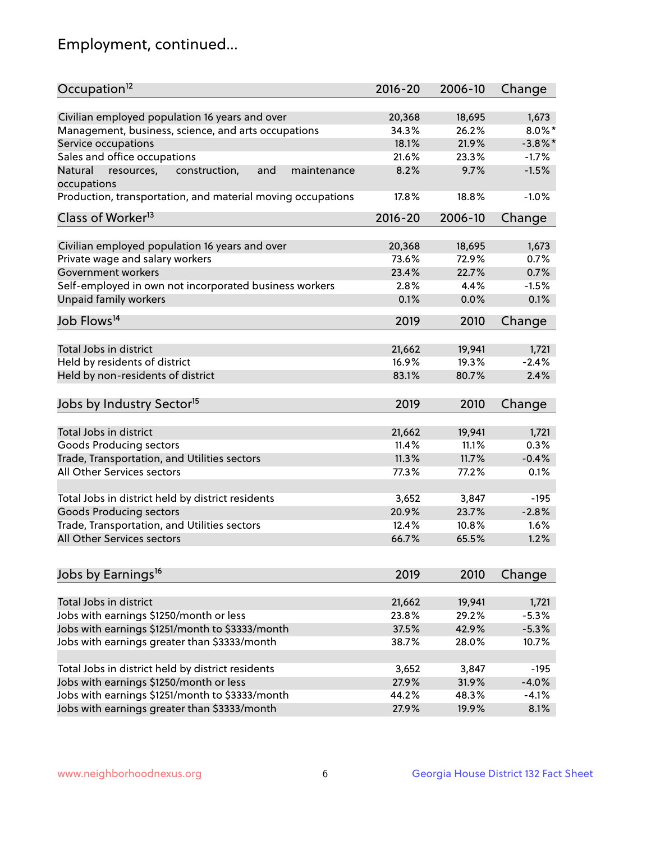## Employment, continued...

| Occupation <sup>12</sup>                                                    | $2016 - 20$ | 2006-10         | Change     |
|-----------------------------------------------------------------------------|-------------|-----------------|------------|
| Civilian employed population 16 years and over                              |             |                 |            |
|                                                                             | 20,368      | 18,695<br>26.2% | 1,673      |
| Management, business, science, and arts occupations                         | 34.3%       |                 | $8.0\%$ *  |
| Service occupations                                                         | 18.1%       | 21.9%           | $-3.8\%$ * |
| Sales and office occupations                                                | 21.6%       | 23.3%           | $-1.7%$    |
| Natural<br>and<br>resources,<br>construction,<br>maintenance<br>occupations | 8.2%        | 9.7%            | $-1.5%$    |
| Production, transportation, and material moving occupations                 | 17.8%       | 18.8%           | $-1.0%$    |
| Class of Worker <sup>13</sup>                                               | 2016-20     | 2006-10         | Change     |
|                                                                             |             |                 |            |
| Civilian employed population 16 years and over                              | 20,368      | 18,695          | 1,673      |
| Private wage and salary workers                                             | 73.6%       | 72.9%           | 0.7%       |
| Government workers                                                          | 23.4%       | 22.7%           | 0.7%       |
| Self-employed in own not incorporated business workers                      | 2.8%        | 4.4%            | $-1.5%$    |
| Unpaid family workers                                                       | 0.1%        | 0.0%            | 0.1%       |
| Job Flows <sup>14</sup>                                                     | 2019        | 2010            | Change     |
|                                                                             |             |                 |            |
| Total Jobs in district                                                      | 21,662      | 19,941          | 1,721      |
| Held by residents of district                                               | 16.9%       | 19.3%           | $-2.4%$    |
| Held by non-residents of district                                           | 83.1%       | 80.7%           | 2.4%       |
| Jobs by Industry Sector <sup>15</sup>                                       | 2019        | 2010            | Change     |
|                                                                             |             |                 |            |
| Total Jobs in district                                                      | 21,662      | 19,941          | 1,721      |
| Goods Producing sectors                                                     | 11.4%       | 11.1%           | 0.3%       |
| Trade, Transportation, and Utilities sectors                                | 11.3%       | 11.7%           | $-0.4%$    |
| All Other Services sectors                                                  | 77.3%       | 77.2%           | 0.1%       |
|                                                                             |             |                 |            |
| Total Jobs in district held by district residents                           | 3,652       | 3,847           | $-195$     |
| <b>Goods Producing sectors</b>                                              | 20.9%       | 23.7%           | $-2.8%$    |
| Trade, Transportation, and Utilities sectors                                | 12.4%       | 10.8%           | 1.6%       |
| All Other Services sectors                                                  | 66.7%       | 65.5%           | 1.2%       |
|                                                                             |             |                 |            |
| Jobs by Earnings <sup>16</sup>                                              | 2019        | 2010            | Change     |
|                                                                             |             |                 |            |
| Total Jobs in district                                                      | 21,662      | 19,941          | 1,721      |
| Jobs with earnings \$1250/month or less                                     | 23.8%       | 29.2%           | $-5.3%$    |
| Jobs with earnings \$1251/month to \$3333/month                             | 37.5%       | 42.9%           | $-5.3%$    |
| Jobs with earnings greater than \$3333/month                                | 38.7%       | 28.0%           | 10.7%      |
|                                                                             |             |                 |            |
| Total Jobs in district held by district residents                           | 3,652       | 3,847           | $-195$     |
| Jobs with earnings \$1250/month or less                                     | 27.9%       | 31.9%           | $-4.0%$    |
| Jobs with earnings \$1251/month to \$3333/month                             | 44.2%       | 48.3%           | $-4.1%$    |
| Jobs with earnings greater than \$3333/month                                | 27.9%       | 19.9%           | 8.1%       |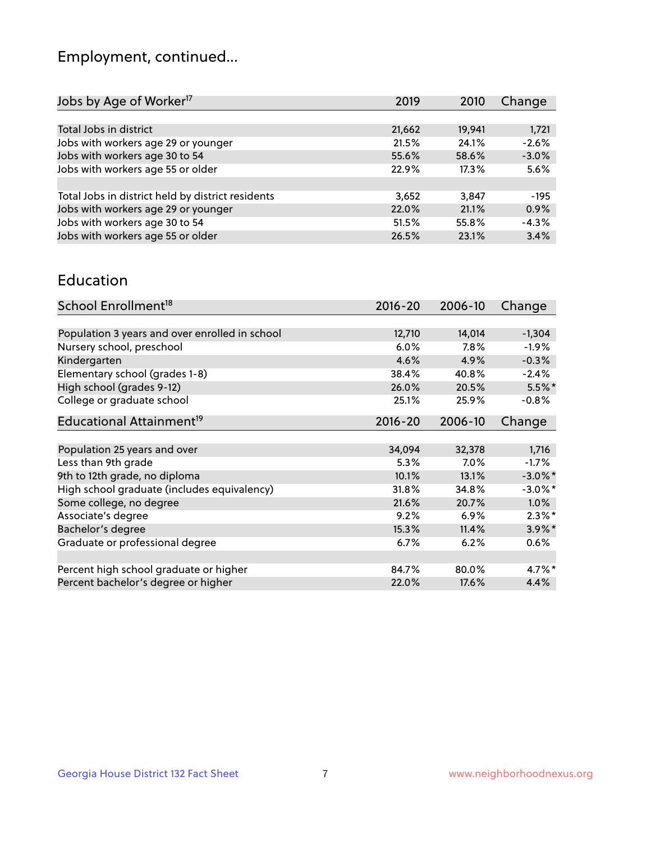## Employment, continued...

| Jobs by Age of Worker <sup>17</sup>               | 2019   | 2010   | Change  |
|---------------------------------------------------|--------|--------|---------|
|                                                   |        |        |         |
| Total Jobs in district                            | 21,662 | 19,941 | 1,721   |
| Jobs with workers age 29 or younger               | 21.5%  | 24.1%  | $-2.6%$ |
| Jobs with workers age 30 to 54                    | 55.6%  | 58.6%  | $-3.0%$ |
| Jobs with workers age 55 or older                 | 22.9%  | 17.3%  | 5.6%    |
|                                                   |        |        |         |
| Total Jobs in district held by district residents | 3,652  | 3,847  | $-195$  |
| Jobs with workers age 29 or younger               | 22.0%  | 21.1%  | 0.9%    |
| Jobs with workers age 30 to 54                    | 51.5%  | 55.8%  | $-4.3%$ |
| Jobs with workers age 55 or older                 | 26.5%  | 23.1%  | 3.4%    |

#### Education

| School Enrollment <sup>18</sup>                | $2016 - 20$ | 2006-10 | Change     |
|------------------------------------------------|-------------|---------|------------|
|                                                |             |         |            |
| Population 3 years and over enrolled in school | 12,710      | 14,014  | $-1,304$   |
| Nursery school, preschool                      | 6.0%        | 7.8%    | $-1.9\%$   |
| Kindergarten                                   | 4.6%        | 4.9%    | $-0.3%$    |
| Elementary school (grades 1-8)                 | 38.4%       | 40.8%   | $-2.4%$    |
| High school (grades 9-12)                      | 26.0%       | 20.5%   | $5.5%$ *   |
| College or graduate school                     | 25.1%       | 25.9%   | $-0.8%$    |
| Educational Attainment <sup>19</sup>           | $2016 - 20$ | 2006-10 | Change     |
|                                                |             |         |            |
| Population 25 years and over                   | 34,094      | 32,378  | 1,716      |
| Less than 9th grade                            | 5.3%        | $7.0\%$ | $-1.7%$    |
| 9th to 12th grade, no diploma                  | 10.1%       | 13.1%   | $-3.0\%$ * |
| High school graduate (includes equivalency)    | 31.8%       | 34.8%   | $-3.0\%$ * |
| Some college, no degree                        | 21.6%       | 20.7%   | 1.0%       |
| Associate's degree                             | 9.2%        | 6.9%    | $2.3\%$ *  |
| Bachelor's degree                              | 15.3%       | 11.4%   | 3.9%*      |
| Graduate or professional degree                | $6.7\%$     | 6.2%    | $0.6\%$    |
|                                                |             |         |            |
| Percent high school graduate or higher         | 84.7%       | 80.0%   | $4.7\%$ *  |
| Percent bachelor's degree or higher            | 22.0%       | 17.6%   | 4.4%       |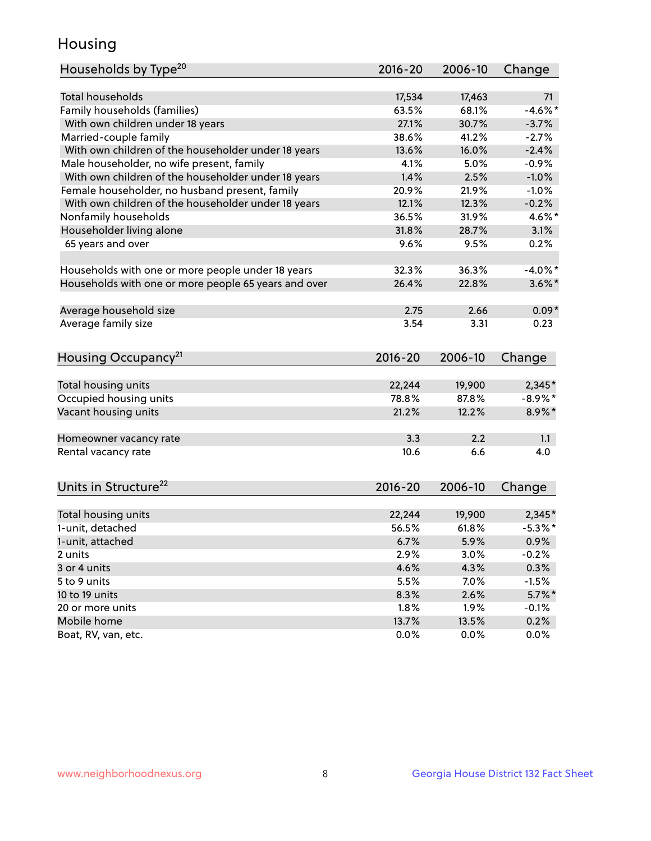## Housing

| Households by Type <sup>20</sup>                     | $2016 - 20$   | 2006-10       | Change       |
|------------------------------------------------------|---------------|---------------|--------------|
| Total households                                     | 17,534        |               |              |
|                                                      |               | 17,463        | 71           |
| Family households (families)                         | 63.5%         | 68.1%         | $-4.6\%$ *   |
| With own children under 18 years                     | 27.1%         | 30.7%         | $-3.7%$      |
| Married-couple family                                | 38.6%         | 41.2%         | $-2.7%$      |
| With own children of the householder under 18 years  | 13.6%         | 16.0%         | $-2.4%$      |
| Male householder, no wife present, family            | 4.1%          | 5.0%          | $-0.9%$      |
| With own children of the householder under 18 years  | 1.4%          | 2.5%          | $-1.0%$      |
| Female householder, no husband present, family       | 20.9%         | 21.9%         | $-1.0%$      |
| With own children of the householder under 18 years  | 12.1%         | 12.3%         | $-0.2%$      |
| Nonfamily households                                 | 36.5%         | 31.9%         | 4.6%*        |
| Householder living alone                             | 31.8%         | 28.7%         | 3.1%         |
| 65 years and over                                    | 9.6%          | 9.5%          | 0.2%         |
|                                                      |               |               |              |
| Households with one or more people under 18 years    | 32.3%         | 36.3%         | $-4.0\%$ *   |
| Households with one or more people 65 years and over | 26.4%         | 22.8%         | $3.6\%$ *    |
|                                                      |               |               |              |
| Average household size                               | 2.75          | 2.66          | $0.09*$      |
| Average family size                                  | 3.54          | 3.31          | 0.23         |
|                                                      |               |               |              |
|                                                      |               | 2006-10       |              |
| Housing Occupancy <sup>21</sup>                      | 2016-20       |               | Change       |
| Total housing units                                  | 22,244        | 19,900        | 2,345*       |
| Occupied housing units                               | 78.8%         | 87.8%         | $-8.9\%$ *   |
| Vacant housing units                                 | 21.2%         | 12.2%         | 8.9%*        |
|                                                      |               |               |              |
| Homeowner vacancy rate                               | 3.3           | 2.2           | 1.1          |
| Rental vacancy rate                                  | 10.6          | 6.6           | 4.0          |
|                                                      |               |               |              |
| Units in Structure <sup>22</sup>                     | $2016 - 20$   | 2006-10       | Change       |
|                                                      |               |               |              |
| Total housing units                                  | 22,244        | 19,900        | $2,345*$     |
| 1-unit, detached                                     | 56.5%         | 61.8%         | $-5.3\%$ *   |
| 1-unit, attached                                     | 6.7%          | 5.9%          | 0.9%         |
| 2 units                                              | 2.9%          | 3.0%          | $-0.2%$      |
| 3 or 4 units                                         | 4.6%          | 4.3%          | 0.3%         |
| 5 to 9 units                                         | 5.5%          | 7.0%          | $-1.5%$      |
| 10 to 19 units                                       | 8.3%          | 2.6%          | $5.7\%$ *    |
| 20 or more units                                     | 1.8%          | 1.9%          | $-0.1%$      |
| Mobile home                                          |               |               |              |
| Boat, RV, van, etc.                                  | 13.7%<br>0.0% | 13.5%<br>0.0% | 0.2%<br>0.0% |
|                                                      |               |               |              |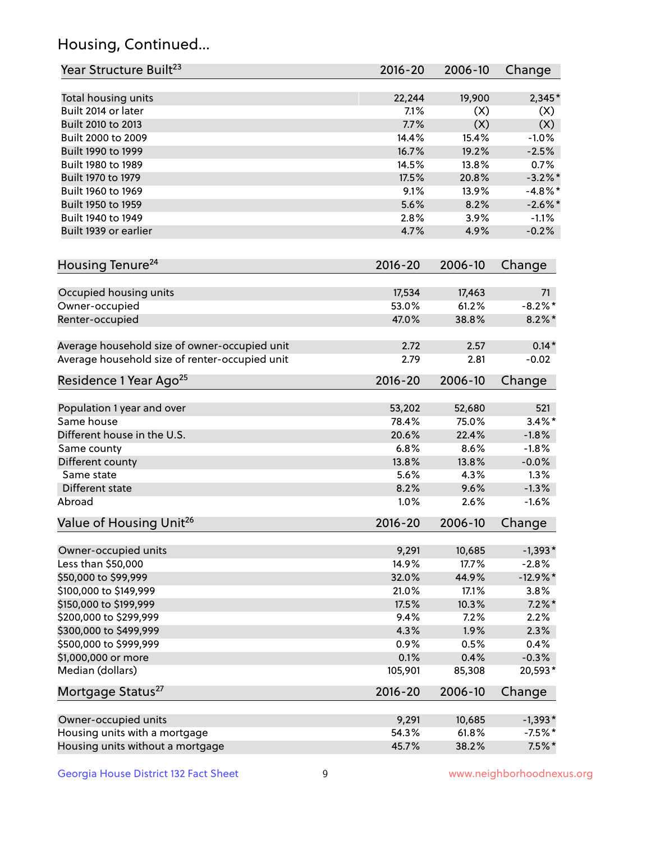## Housing, Continued...

| Year Structure Built <sup>23</sup>             | 2016-20     | 2006-10 | Change     |
|------------------------------------------------|-------------|---------|------------|
| Total housing units                            | 22,244      | 19,900  | $2,345*$   |
| Built 2014 or later                            | 7.1%        | (X)     | (X)        |
| Built 2010 to 2013                             | 7.7%        | (X)     | (X)        |
| Built 2000 to 2009                             | 14.4%       | 15.4%   | $-1.0%$    |
| Built 1990 to 1999                             | 16.7%       | 19.2%   | $-2.5%$    |
| Built 1980 to 1989                             | 14.5%       | 13.8%   | 0.7%       |
| Built 1970 to 1979                             | 17.5%       | 20.8%   | $-3.2\%$ * |
| Built 1960 to 1969                             | 9.1%        | 13.9%   | $-4.8\%$ * |
| Built 1950 to 1959                             | 5.6%        | 8.2%    | $-2.6\%$ * |
| Built 1940 to 1949                             | 2.8%        | 3.9%    | $-1.1%$    |
| Built 1939 or earlier                          | 4.7%        | 4.9%    | $-0.2%$    |
|                                                |             |         |            |
| Housing Tenure <sup>24</sup>                   | $2016 - 20$ | 2006-10 | Change     |
| Occupied housing units                         | 17,534      | 17,463  | 71         |
| Owner-occupied                                 | 53.0%       | 61.2%   | $-8.2\%$ * |
| Renter-occupied                                | 47.0%       | 38.8%   | $8.2\%$ *  |
| Average household size of owner-occupied unit  | 2.72        | 2.57    | $0.14*$    |
| Average household size of renter-occupied unit | 2.79        | 2.81    | $-0.02$    |
| Residence 1 Year Ago <sup>25</sup>             | $2016 - 20$ | 2006-10 | Change     |
| Population 1 year and over                     | 53,202      | 52,680  | 521        |
| Same house                                     | 78.4%       | 75.0%   | $3.4\%$ *  |
| Different house in the U.S.                    | 20.6%       | 22.4%   | $-1.8%$    |
| Same county                                    | 6.8%        | 8.6%    | $-1.8%$    |
| Different county                               | 13.8%       | 13.8%   | $-0.0%$    |
| Same state                                     | 5.6%        | 4.3%    | 1.3%       |
| Different state                                | 8.2%        | 9.6%    | $-1.3%$    |
| Abroad                                         | 1.0%        | 2.6%    | $-1.6%$    |
|                                                |             |         |            |
| Value of Housing Unit <sup>26</sup>            | $2016 - 20$ | 2006-10 | Change     |
| Owner-occupied units                           | 9,291       | 10,685  | $-1,393*$  |
| Less than \$50,000                             | 14.9%       | 17.7%   | $-2.8%$    |
| \$50,000 to \$99,999                           | 32.0%       | 44.9%   | $-12.9%$ * |
| \$100,000 to \$149,999                         | 21.0%       | 17.1%   | 3.8%       |
| \$150,000 to \$199,999                         | 17.5%       | 10.3%   | $7.2\%$ *  |
| \$200,000 to \$299,999                         | 9.4%        | 7.2%    | 2.2%       |
| \$300,000 to \$499,999                         | 4.3%        | 1.9%    | 2.3%       |
| \$500,000 to \$999,999                         | 0.9%        | 0.5%    | 0.4%       |
| \$1,000,000 or more                            | 0.1%        | 0.4%    | $-0.3%$    |
| Median (dollars)                               | 105,901     | 85,308  | 20,593*    |
| Mortgage Status <sup>27</sup>                  | $2016 - 20$ | 2006-10 | Change     |
| Owner-occupied units                           | 9,291       | 10,685  | $-1,393*$  |
| Housing units with a mortgage                  | 54.3%       | 61.8%   | $-7.5%$ *  |
| Housing units without a mortgage               | 45.7%       | 38.2%   | $7.5\%$ *  |
|                                                |             |         |            |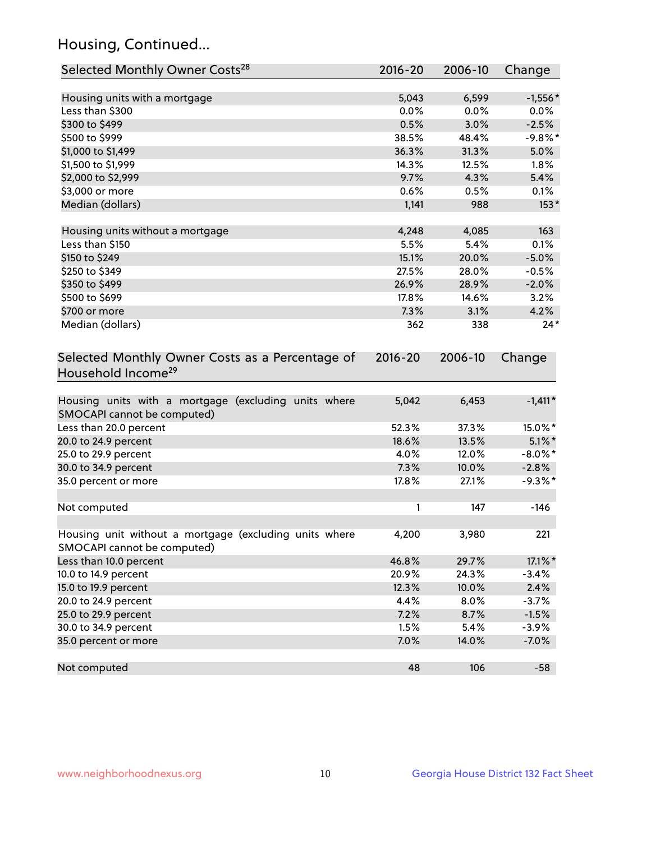## Housing, Continued...

| Selected Monthly Owner Costs <sup>28</sup>                                            | 2016-20     | 2006-10 | Change     |
|---------------------------------------------------------------------------------------|-------------|---------|------------|
| Housing units with a mortgage                                                         | 5,043       | 6,599   | $-1,556*$  |
| Less than \$300                                                                       | 0.0%        | 0.0%    | $0.0\%$    |
| \$300 to \$499                                                                        | 0.5%        | 3.0%    | $-2.5%$    |
| \$500 to \$999                                                                        | 38.5%       | 48.4%   | $-9.8\%$ * |
| \$1,000 to \$1,499                                                                    | 36.3%       | 31.3%   | 5.0%       |
| \$1,500 to \$1,999                                                                    | 14.3%       | 12.5%   | 1.8%       |
| \$2,000 to \$2,999                                                                    | 9.7%        | 4.3%    | 5.4%       |
| \$3,000 or more                                                                       | 0.6%        | 0.5%    | 0.1%       |
| Median (dollars)                                                                      | 1,141       | 988     | $153*$     |
| Housing units without a mortgage                                                      | 4,248       | 4,085   | 163        |
| Less than \$150                                                                       | 5.5%        | 5.4%    | 0.1%       |
| \$150 to \$249                                                                        | 15.1%       | 20.0%   | $-5.0%$    |
| \$250 to \$349                                                                        | 27.5%       | 28.0%   | $-0.5%$    |
| \$350 to \$499                                                                        | 26.9%       | 28.9%   | $-2.0%$    |
| \$500 to \$699                                                                        | 17.8%       | 14.6%   | 3.2%       |
| \$700 or more                                                                         | 7.3%        | 3.1%    | 4.2%       |
| Median (dollars)                                                                      | 362         | 338     | $24*$      |
| Selected Monthly Owner Costs as a Percentage of<br>Household Income <sup>29</sup>     | $2016 - 20$ | 2006-10 | Change     |
| Housing units with a mortgage (excluding units where<br>SMOCAPI cannot be computed)   | 5,042       | 6,453   | $-1,411*$  |
| Less than 20.0 percent                                                                | 52.3%       | 37.3%   | 15.0%*     |
| 20.0 to 24.9 percent                                                                  | 18.6%       | 13.5%   | $5.1\%$ *  |
| 25.0 to 29.9 percent                                                                  | 4.0%        | 12.0%   | $-8.0\%$ * |
| 30.0 to 34.9 percent                                                                  | 7.3%        | 10.0%   | $-2.8%$    |
| 35.0 percent or more                                                                  | 17.8%       | 27.1%   | $-9.3%$ *  |
| Not computed                                                                          | 1           | 147     | $-146$     |
| Housing unit without a mortgage (excluding units where<br>SMOCAPI cannot be computed) | 4,200       | 3,980   | 221        |
| Less than 10.0 percent                                                                | 46.8%       | 29.7%   | 17.1%*     |
| 10.0 to 14.9 percent                                                                  | 20.9%       | 24.3%   | $-3.4%$    |
| 15.0 to 19.9 percent                                                                  | 12.3%       | 10.0%   | 2.4%       |
| 20.0 to 24.9 percent                                                                  | 4.4%        | 8.0%    | $-3.7%$    |
| 25.0 to 29.9 percent                                                                  | 7.2%        | 8.7%    | $-1.5%$    |
| 30.0 to 34.9 percent                                                                  | 1.5%        | 5.4%    | $-3.9%$    |
| 35.0 percent or more                                                                  | 7.0%        | 14.0%   | $-7.0%$    |
| Not computed                                                                          | 48          | 106     | $-58$      |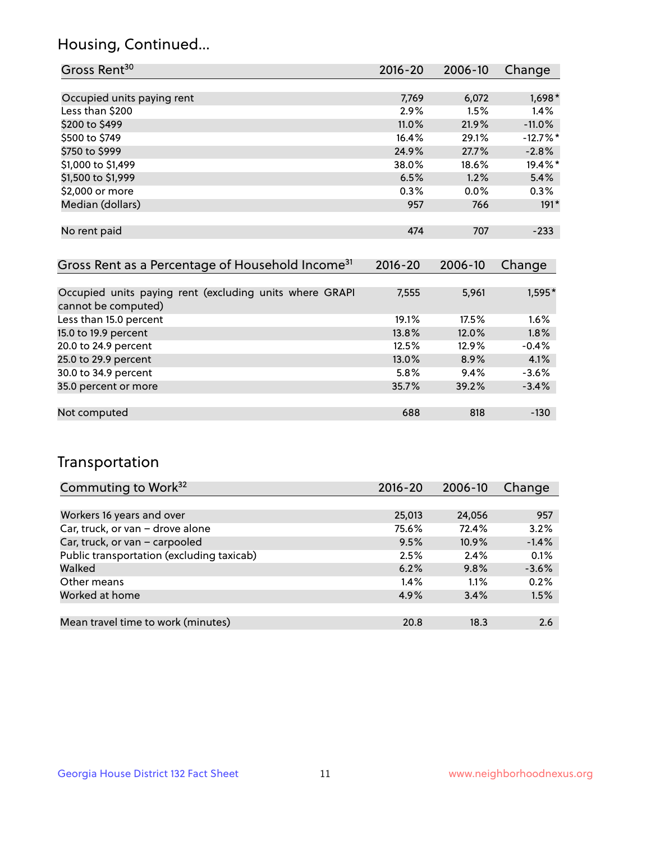## Housing, Continued...

| Gross Rent <sup>30</sup>   | 2016-20 | 2006-10 | Change     |
|----------------------------|---------|---------|------------|
|                            |         |         |            |
| Occupied units paying rent | 7,769   | 6,072   | 1,698*     |
| Less than \$200            | 2.9%    | 1.5%    | 1.4%       |
| \$200 to \$499             | 11.0%   | 21.9%   | $-11.0%$   |
| \$500 to \$749             | 16.4%   | 29.1%   | $-12.7%$ * |
| \$750 to \$999             | 24.9%   | 27.7%   | $-2.8%$    |
| \$1,000 to \$1,499         | 38.0%   | 18.6%   | 19.4%*     |
| \$1,500 to \$1,999         | 6.5%    | 1.2%    | 5.4%       |
| \$2,000 or more            | 0.3%    | $0.0\%$ | 0.3%       |
| Median (dollars)           | 957     | 766     | $191*$     |
|                            |         |         |            |
| No rent paid               | 474     | 707     | $-233$     |
|                            |         |         |            |

| Gross Rent as a Percentage of Household Income <sup>31</sup>                   | $2016 - 20$ | 2006-10 | Change  |
|--------------------------------------------------------------------------------|-------------|---------|---------|
|                                                                                |             |         |         |
| Occupied units paying rent (excluding units where GRAPI<br>cannot be computed) | 7,555       | 5,961   | 1,595*  |
| Less than 15.0 percent                                                         | 19.1%       | 17.5%   | 1.6%    |
| 15.0 to 19.9 percent                                                           | 13.8%       | 12.0%   | 1.8%    |
| 20.0 to 24.9 percent                                                           | 12.5%       | 12.9%   | $-0.4%$ |
| 25.0 to 29.9 percent                                                           | 13.0%       | 8.9%    | 4.1%    |
| 30.0 to 34.9 percent                                                           | 5.8%        | 9.4%    | $-3.6%$ |
| 35.0 percent or more                                                           | 35.7%       | 39.2%   | $-3.4%$ |
|                                                                                |             |         |         |
| Not computed                                                                   | 688         | 818     | $-130$  |

### Transportation

| Commuting to Work <sup>32</sup>           | 2016-20 | 2006-10 | Change  |
|-------------------------------------------|---------|---------|---------|
|                                           |         |         |         |
| Workers 16 years and over                 | 25,013  | 24,056  | 957     |
| Car, truck, or van - drove alone          | 75.6%   | 72.4%   | 3.2%    |
| Car, truck, or van - carpooled            | 9.5%    | 10.9%   | $-1.4%$ |
| Public transportation (excluding taxicab) | 2.5%    | 2.4%    | 0.1%    |
| Walked                                    | 6.2%    | 9.8%    | $-3.6%$ |
| Other means                               | $1.4\%$ | 1.1%    | 0.2%    |
| Worked at home                            | 4.9%    | 3.4%    | 1.5%    |
|                                           |         |         |         |
| Mean travel time to work (minutes)        | 20.8    | 18.3    | 2.6     |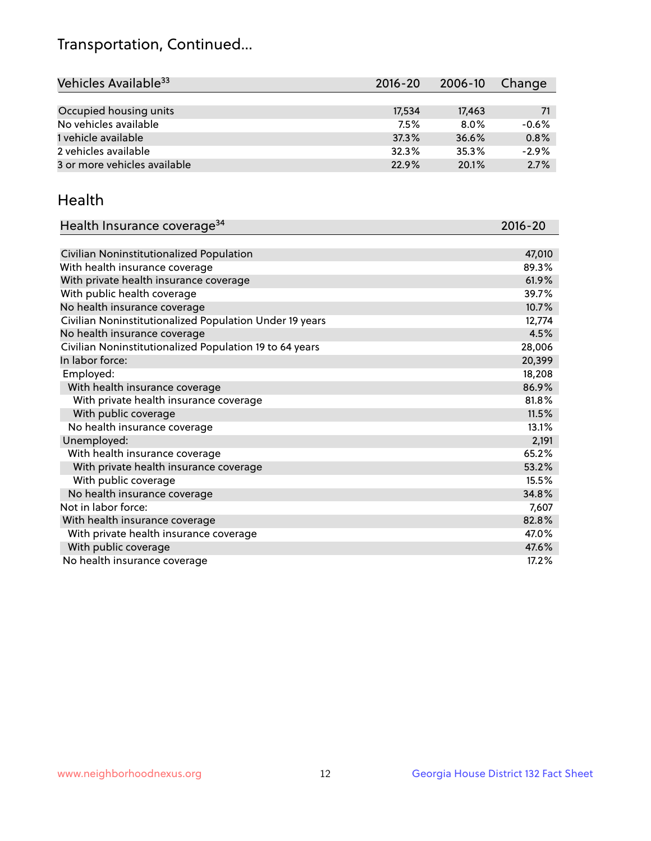## Transportation, Continued...

| Vehicles Available <sup>33</sup> | 2016-20 | 2006-10 | Change  |
|----------------------------------|---------|---------|---------|
|                                  |         |         |         |
| Occupied housing units           | 17,534  | 17,463  | 71      |
| No vehicles available            | 7.5%    | 8.0%    | $-0.6%$ |
| 1 vehicle available              | 37.3%   | 36.6%   | 0.8%    |
| 2 vehicles available             | 32.3%   | 35.3%   | $-2.9%$ |
| 3 or more vehicles available     | 22.9%   | 20.1%   | 2.7%    |

#### Health

| Health Insurance coverage <sup>34</sup>                 | 2016-20 |
|---------------------------------------------------------|---------|
|                                                         |         |
| Civilian Noninstitutionalized Population                | 47,010  |
| With health insurance coverage                          | 89.3%   |
| With private health insurance coverage                  | 61.9%   |
| With public health coverage                             | 39.7%   |
| No health insurance coverage                            | 10.7%   |
| Civilian Noninstitutionalized Population Under 19 years | 12,774  |
| No health insurance coverage                            | 4.5%    |
| Civilian Noninstitutionalized Population 19 to 64 years | 28,006  |
| In labor force:                                         | 20,399  |
| Employed:                                               | 18,208  |
| With health insurance coverage                          | 86.9%   |
| With private health insurance coverage                  | 81.8%   |
| With public coverage                                    | 11.5%   |
| No health insurance coverage                            | 13.1%   |
| Unemployed:                                             | 2,191   |
| With health insurance coverage                          | 65.2%   |
| With private health insurance coverage                  | 53.2%   |
| With public coverage                                    | 15.5%   |
| No health insurance coverage                            | 34.8%   |
| Not in labor force:                                     | 7,607   |
| With health insurance coverage                          | 82.8%   |
| With private health insurance coverage                  | 47.0%   |
| With public coverage                                    | 47.6%   |
| No health insurance coverage                            | 17.2%   |